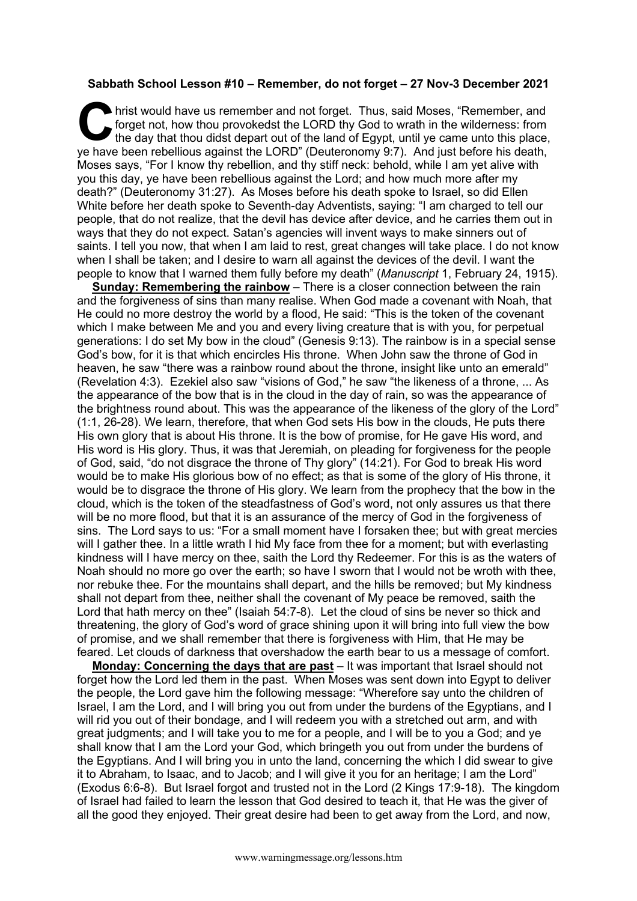## **Sabbath School Lesson #10 – Remember, do not forget – 27 Nov-3 December 2021**

hrist would have us remember and not forget. Thus, said Moses, "Remember, and forget not, how thou provokedst the LORD thy God to wrath in the wilderness: from the day that thou didst depart out of the land of Egypt, until ye came unto this place, I hrist would have us remember and not forget. Thus, said Moses, "Remember, and forget not, how thou provokedst the LORD thy God to wrath in the wilderness: from the day that thou didst depart out of the land of Egypt, unt Moses says, "For I know thy rebellion, and thy stiff neck: behold, while I am yet alive with you this day, ye have been rebellious against the Lord; and how much more after my death?" (Deuteronomy 31:27). As Moses before his death spoke to Israel, so did Ellen White before her death spoke to Seventh-day Adventists, saying: "I am charged to tell our people, that do not realize, that the devil has device after device, and he carries them out in ways that they do not expect. Satan's agencies will invent ways to make sinners out of saints. I tell you now, that when I am laid to rest, great changes will take place. I do not know when I shall be taken; and I desire to warn all against the devices of the devil. I want the people to know that I warned them fully before my death" (*Manuscript* 1, February 24, 1915).

**Sunday: Remembering the rainbow** – There is a closer connection between the rain and the forgiveness of sins than many realise. When God made a covenant with Noah, that He could no more destroy the world by a flood, He said: "This is the token of the covenant which I make between Me and you and every living creature that is with you, for perpetual generations: I do set My bow in the cloud" (Genesis 9:13). The rainbow is in a special sense God's bow, for it is that which encircles His throne. When John saw the throne of God in heaven, he saw "there was a rainbow round about the throne, insight like unto an emerald" (Revelation 4:3). Ezekiel also saw "visions of God," he saw "the likeness of a throne, ... As the appearance of the bow that is in the cloud in the day of rain, so was the appearance of the brightness round about. This was the appearance of the likeness of the glory of the Lord" (1:1, 26-28). We learn, therefore, that when God sets His bow in the clouds, He puts there His own glory that is about His throne. It is the bow of promise, for He gave His word, and His word is His glory. Thus, it was that Jeremiah, on pleading for forgiveness for the people of God, said, "do not disgrace the throne of Thy glory" (14:21). For God to break His word would be to make His glorious bow of no effect; as that is some of the glory of His throne, it would be to disgrace the throne of His glory. We learn from the prophecy that the bow in the cloud, which is the token of the steadfastness of God's word, not only assures us that there will be no more flood, but that it is an assurance of the mercy of God in the forgiveness of sins. The Lord says to us: "For a small moment have I forsaken thee; but with great mercies will I gather thee. In a little wrath I hid My face from thee for a moment; but with everlasting kindness will I have mercy on thee, saith the Lord thy Redeemer. For this is as the waters of Noah should no more go over the earth; so have I sworn that I would not be wroth with thee, nor rebuke thee. For the mountains shall depart, and the hills be removed; but My kindness shall not depart from thee, neither shall the covenant of My peace be removed, saith the Lord that hath mercy on thee" (Isaiah 54:7-8). Let the cloud of sins be never so thick and threatening, the glory of God's word of grace shining upon it will bring into full view the bow of promise, and we shall remember that there is forgiveness with Him, that He may be feared. Let clouds of darkness that overshadow the earth bear to us a message of comfort.

**Monday: Concerning the days that are past** – It was important that Israel should not forget how the Lord led them in the past. When Moses was sent down into Egypt to deliver the people, the Lord gave him the following message: "Wherefore say unto the children of Israel, I am the Lord, and I will bring you out from under the burdens of the Egyptians, and I will rid you out of their bondage, and I will redeem you with a stretched out arm, and with great judgments; and I will take you to me for a people, and I will be to you a God; and ye shall know that I am the Lord your God, which bringeth you out from under the burdens of the Egyptians. And I will bring you in unto the land, concerning the which I did swear to give it to Abraham, to Isaac, and to Jacob; and I will give it you for an heritage; I am the Lord" (Exodus 6:6-8). But Israel forgot and trusted not in the Lord (2 Kings 17:9-18). The kingdom of Israel had failed to learn the lesson that God desired to teach it, that He was the giver of all the good they enjoyed. Their great desire had been to get away from the Lord, and now,